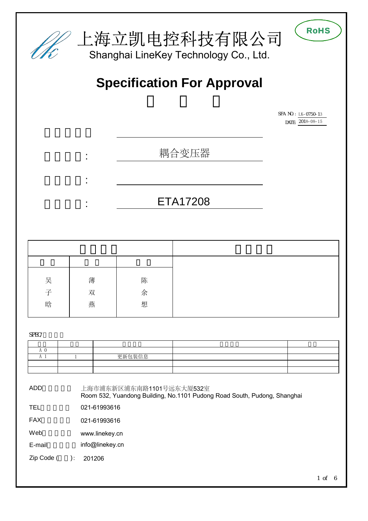

| 吴 | 薄 | 陈 |  |
|---|---|---|--|
| 子 | 双 | 余 |  |
| 晗 | 燕 | 想 |  |
|   |   |   |  |

SPEC/

|  | 更新包装信息 |  |
|--|--------|--|
|  |        |  |
|  |        |  |

ADD(地址):

上海市浦东新区浦东南路1101号远东大厦532室 Room 532, Yuandong Building, No.1101 Pudong Road South, Pudong, Shanghai

TEL 021-61993616

FAX 021-61993616

Web [www.linekey.cn](http://www.linekey.cn)

E-mail [info@linekey.cn](mailto:info@linekey.cn)

Zip Code (  $): 201206$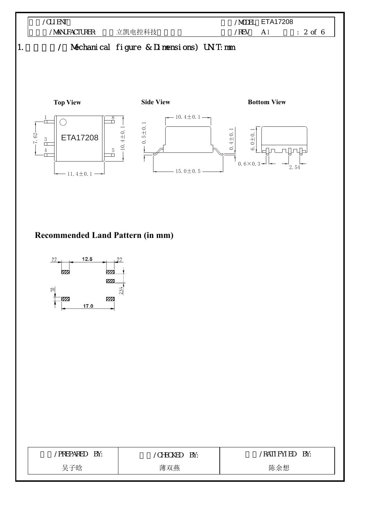

## **Recommended Land Pattern (in mm)**



| /PREPARED BY: | <b>CHECKED BY:</b> | /Rati fyi ed By: |
|---------------|--------------------|------------------|
| 吴子晗           | 薄双燕                | 陈余想              |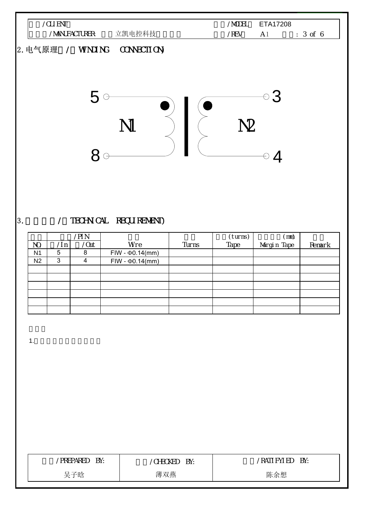

### 3. / TECHNICAL REQUIREMENT)

|                |     | /PI N      |                        |       | (turns) | $\mathsf{(mm)}$ |        |
|----------------|-----|------------|------------------------|-------|---------|-----------------|--------|
| NO.            | /ln | $\sqrt{a}$ | Wre                    | Turns | Tape    | Margin Tape     | Remark |
| N <sub>1</sub> | 5   | 8          | $FIW - \Phi 0.14$ (mm) |       |         |                 |        |
| N <sub>2</sub> | 3   | 4          | $FIW - \Phi 0.14$ (mm) |       |         |                 |        |
|                |     |            |                        |       |         |                 |        |
|                |     |            |                        |       |         |                 |        |
|                |     |            |                        |       |         |                 |        |
|                |     |            |                        |       |         |                 |        |
|                |     |            |                        |       |         |                 |        |
|                |     |            |                        |       |         |                 |        |

1.  $\blacksquare$ 

| <b>PREPARED</b><br>BY: | <b>HECKED</b><br>BY:<br>$\sim$ | Rati fyl ed<br>BY: |
|------------------------|--------------------------------|--------------------|
| :子晗<br>브               | 薄双燕                            | 陈余想                |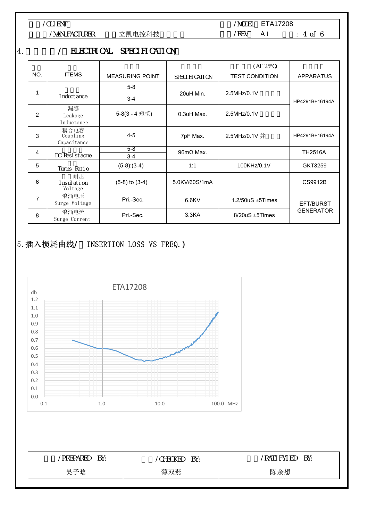客户/CLIENT:

/MANUFACTURER: 立凯电控科技

/MODEL ETA17208 版本/REV: A 1 页数: 4 of 6

#### 4. / ELECTRICAL SPECIFICATION

|     |                                              |                        |                          | $(AT 25^{\circ}C)$     |                  |
|-----|----------------------------------------------|------------------------|--------------------------|------------------------|------------------|
| NO. | <b>ITEMS</b>                                 | <b>MEASURING POINT</b> | SPECIFICATION            | <b>TEST CONDITION</b>  | <b>APPARATUS</b> |
|     |                                              | $5-8$                  |                          |                        |                  |
|     | I nduct ance                                 | $3 - 4$                | 20uH Min.                | 2.5MHz/0.1V            | HP4291B+16194A   |
| 2   | 漏感<br>Leakage<br>Inductance                  | 5-8(3 - 4 短接)          | $0.3$ uH Max.            | 2.5MHz/0.1V            |                  |
| 3   | 耦合电容<br>$\overline{Coupling}$<br>Capacitance | $4 - 5$                | 7pF Max.                 | 2.5MHz/0.1V 并          | HP4291B+16194A   |
| 4   | DC Resistacne                                | $5-8$<br>$3 - 4$       | $96 \text{m}\Omega$ Max. |                        | <b>TH2516A</b>   |
| 5   | Turns Ratio                                  | $(5-8):(3-4)$          | 1:1                      | 100KHz/0.1V            | GKT3259          |
| 6   | 耐压<br>I nsul ati on<br>Voltage               | $(5-8)$ to $(3-4)$     | 5.0KV/60S/1mA            |                        | CS9912B          |
| 7   | 浪涌电压<br>Surge Voltage                        | Pri.-Sec.              | $6.6$ KV                 | $1.2/50uS \pm 5$ Times | EFT/BURST        |
| 8   | 浪涌电流<br>Surge Current                        | Pri.-Sec.              | 3.3 <sub>K</sub> A       | 8/20uS ±5Times         | <b>GENERATOR</b> |

# 5. 插入损耗曲线/ INSERTION LOSS VS FREQ.)



| PREPARED BY: | CHECKED<br>BY: | /Rati fyi ed By: |
|--------------|----------------|------------------|
| 吴子晗          | 薄双燕            | 陈余想              |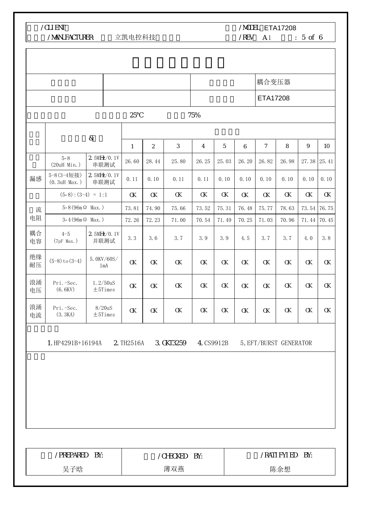客户/CLIENT:

 $\mathsf{r}$ 

/MANUFACTURER: 立凯电控科技

/MODEL ETA17208

 $/$ REV A 1 : 5 of 6

 $\overline{\phantom{a}}$ 

|                                                                                      |                               |                          |          |                |          |          |          |          | 耦合变压器          |              |             |                 |
|--------------------------------------------------------------------------------------|-------------------------------|--------------------------|----------|----------------|----------|----------|----------|----------|----------------|--------------|-------------|-----------------|
|                                                                                      |                               |                          |          |                |          |          |          |          | ETA17208       |              |             |                 |
|                                                                                      |                               |                          | 25       |                |          | 75%      |          |          |                |              |             |                 |
|                                                                                      |                               | &                        |          |                |          |          |          |          |                |              |             |                 |
|                                                                                      |                               |                          | 1        | $\overline{2}$ | 3        | 4        | 5        | 6        | $\overline{7}$ | 8            | 9           | 10 <sup>°</sup> |
|                                                                                      | $5 - 8$<br>(20uH Min.)        | 2.5MHz/0.1V<br>串联测试      | 26.60    | 28.44          | 25.80    | 26.25    | 25.03    | 26.20    | 26.82          | 26.98        | 27.38 25.41 |                 |
| 漏感                                                                                   | 5-8 (3-4短接)<br>$(0.3uH$ Max.) | 2.5MHz/0.1V<br>串联测试      | 0.11     | 0.10           | 0.11     | 0.11     | 0.10     | 0.10     | 0.10           | 0.10         | 0.10        | 0.10            |
|                                                                                      | $(5-8):(3-4) = 1:1$           |                          | $\alpha$ | $\alpha$       | $\alpha$ | $\alpha$ | $\alpha$ | $\alpha$ | $\alpha$       | α            | $\alpha$    | α               |
| 流                                                                                    | $5 - 8(96m \Omega$ Max.)      |                          | 73.81    | 74.90          | 75.66    | 73.52    | 75.31    | 76.48    | 75.77          | 78.63        |             | 73.54 76.75     |
| 电阻                                                                                   | $3-4(96m \Omega$ Max.)        |                          | 72.26    | 72.23          | 71.00    | 70.54    | 71.49    | 70.25    | 71.03          | 70.96        |             | 71.44 70.45     |
| 耦合<br>电容                                                                             | $4 - 5$<br>$(7pF$ Max.)       | 2.5MHz/0.1V<br>并联测试      | 3.3      | 3.6            | 3.7      | 3.9      | 3.9      | 4.5      | 3.7            | 3.7          | 4.0         | 3.8             |
| 绝缘<br>耐压                                                                             | $(5-8)$ to $(3-4)$            | 5.0KV/60S/<br>1mA        | $\alpha$ | $\alpha$       | $\alpha$ | $\alpha$ | $\alpha$ | $\alpha$ | $\alpha$       | α            | $\alpha$    | α               |
| 浪涌<br>电压                                                                             | Pri.-Sec.<br>(6.6KV)          | 1.2/50uS<br>$\pm$ 5Times | $\alpha$ | $\alpha$       | $\alpha$ | $\alpha$ | $\alpha$ | $\alpha$ | $\alpha$       | $\alpha$     | $\alpha$    | αк              |
| 浪涌<br>电流                                                                             | Pri. - Sec.<br>(3.3KA)        | 8/20uS<br>$\pm$ 5Times   | $\alpha$ | $\alpha$       | $\alpha$ | $\alpha$ | $\alpha$ | $\alpha$ | $\alpha$       | αк           | $\alpha$    | αк              |
| 1. HP4291B+16194A<br>2 TH2516A<br>3. GKT3259<br>4. CS9912B<br>5. EFT/BURST GENERATOR |                               |                          |          |                |          |          |          |          |                |              |             |                 |
|                                                                                      |                               |                          |          |                |          |          |          |          |                |              |             |                 |
|                                                                                      |                               |                          |          |                |          |          |          |          |                |              |             |                 |
|                                                                                      |                               |                          |          |                |          |          |          |          |                |              |             |                 |
|                                                                                      |                               |                          |          |                |          |          |          |          |                |              |             |                 |
|                                                                                      |                               |                          |          |                |          |          |          |          |                |              |             |                 |
|                                                                                      | /PREPARED                     | BY:                      |          |                | /CHECKED | BY:      |          |          |                | /RATI FYI ED | BY:         |                 |
|                                                                                      | 吴子晗                           |                          |          | 薄双燕            |          |          | 陈余想      |          |                |              |             |                 |